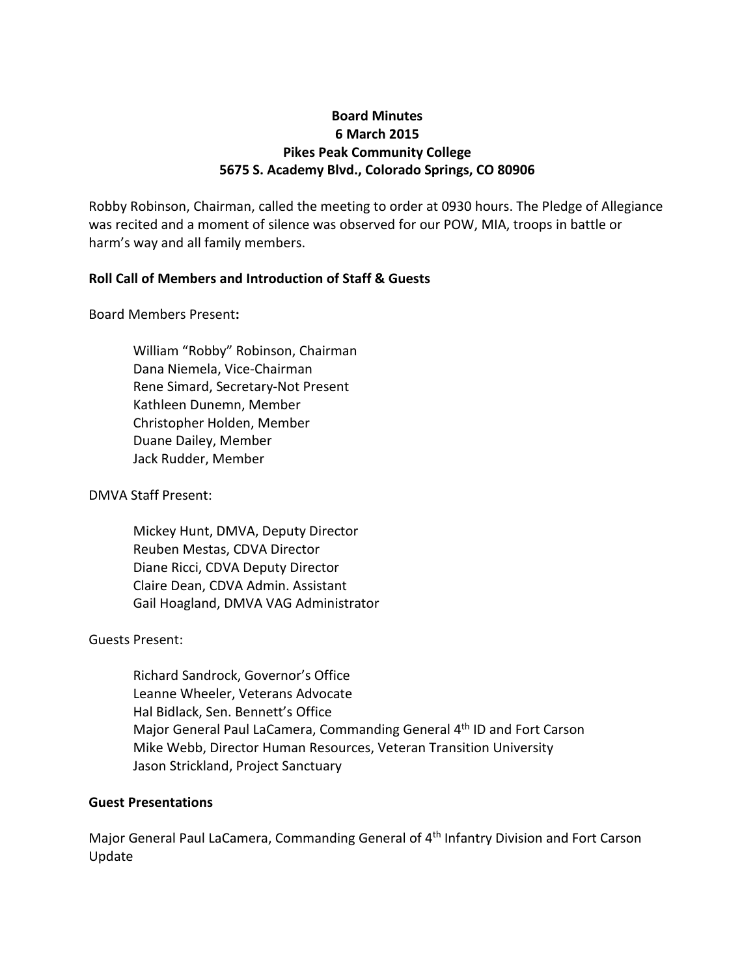# **Board Minutes 6 March 2015 Pikes Peak Community College 5675 S. Academy Blvd., Colorado Springs, CO 80906**

Robby Robinson, Chairman, called the meeting to order at 0930 hours. The Pledge of Allegiance was recited and a moment of silence was observed for our POW, MIA, troops in battle or harm's way and all family members.

## **Roll Call of Members and Introduction of Staff & Guests**

### Board Members Present**:**

William "Robby" Robinson, Chairman Dana Niemela, Vice-Chairman Rene Simard, Secretary-Not Present Kathleen Dunemn, Member Christopher Holden, Member Duane Dailey, Member Jack Rudder, Member

## DMVA Staff Present:

Mickey Hunt, DMVA, Deputy Director Reuben Mestas, CDVA Director Diane Ricci, CDVA Deputy Director Claire Dean, CDVA Admin. Assistant Gail Hoagland, DMVA VAG Administrator

## Guests Present:

Richard Sandrock, Governor's Office Leanne Wheeler, Veterans Advocate Hal Bidlack, Sen. Bennett's Office Major General Paul LaCamera, Commanding General 4th ID and Fort Carson Mike Webb, Director Human Resources, Veteran Transition University Jason Strickland, Project Sanctuary

## **Guest Presentations**

Major General Paul LaCamera, Commanding General of 4<sup>th</sup> Infantry Division and Fort Carson Update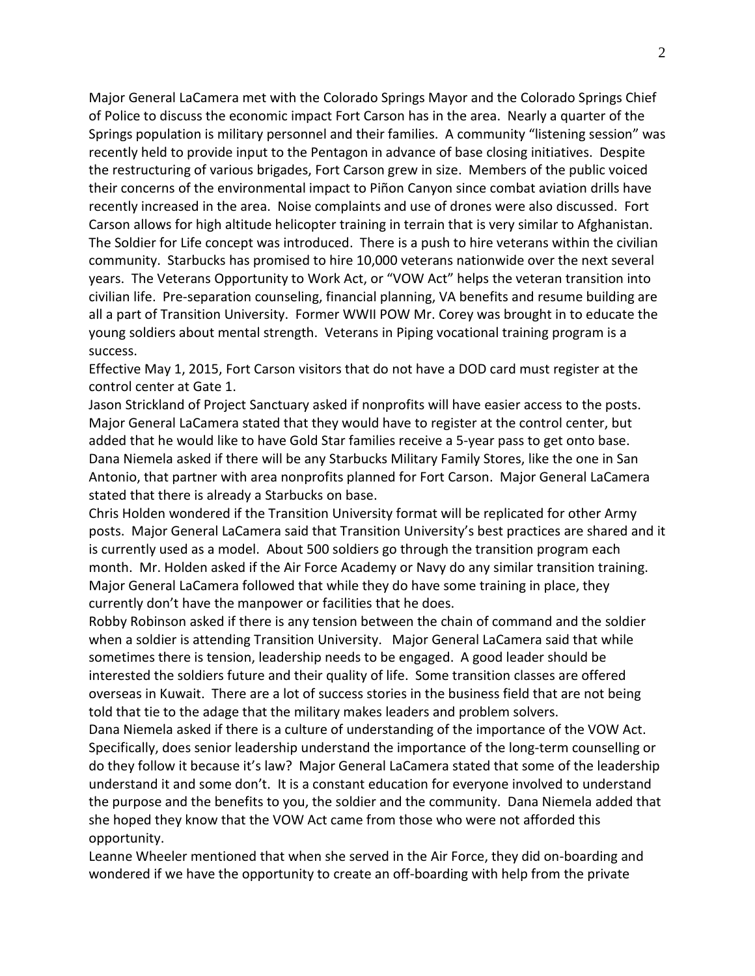Major General LaCamera met with the Colorado Springs Mayor and the Colorado Springs Chief of Police to discuss the economic impact Fort Carson has in the area. Nearly a quarter of the Springs population is military personnel and their families. A community "listening session" was recently held to provide input to the Pentagon in advance of base closing initiatives. Despite the restructuring of various brigades, Fort Carson grew in size. Members of the public voiced their concerns of the environmental impact to Piñon Canyon since combat aviation drills have recently increased in the area. Noise complaints and use of drones were also discussed. Fort Carson allows for high altitude helicopter training in terrain that is very similar to Afghanistan. The Soldier for Life concept was introduced. There is a push to hire veterans within the civilian community. Starbucks has promised to hire 10,000 veterans nationwide over the next several years. The Veterans Opportunity to Work Act, or "VOW Act" helps the veteran transition into civilian life. Pre-separation counseling, financial planning, VA benefits and resume building are all a part of Transition University. Former WWII POW Mr. Corey was brought in to educate the young soldiers about mental strength. Veterans in Piping vocational training program is a success.

Effective May 1, 2015, Fort Carson visitors that do not have a DOD card must register at the control center at Gate 1.

Jason Strickland of Project Sanctuary asked if nonprofits will have easier access to the posts. Major General LaCamera stated that they would have to register at the control center, but added that he would like to have Gold Star families receive a 5-year pass to get onto base. Dana Niemela asked if there will be any Starbucks Military Family Stores, like the one in San Antonio, that partner with area nonprofits planned for Fort Carson. Major General LaCamera stated that there is already a Starbucks on base.

Chris Holden wondered if the Transition University format will be replicated for other Army posts. Major General LaCamera said that Transition University's best practices are shared and it is currently used as a model. About 500 soldiers go through the transition program each month. Mr. Holden asked if the Air Force Academy or Navy do any similar transition training. Major General LaCamera followed that while they do have some training in place, they currently don't have the manpower or facilities that he does.

Robby Robinson asked if there is any tension between the chain of command and the soldier when a soldier is attending Transition University. Major General LaCamera said that while sometimes there is tension, leadership needs to be engaged. A good leader should be interested the soldiers future and their quality of life. Some transition classes are offered overseas in Kuwait. There are a lot of success stories in the business field that are not being told that tie to the adage that the military makes leaders and problem solvers.

Dana Niemela asked if there is a culture of understanding of the importance of the VOW Act. Specifically, does senior leadership understand the importance of the long-term counselling or do they follow it because it's law? Major General LaCamera stated that some of the leadership understand it and some don't. It is a constant education for everyone involved to understand the purpose and the benefits to you, the soldier and the community. Dana Niemela added that she hoped they know that the VOW Act came from those who were not afforded this opportunity.

Leanne Wheeler mentioned that when she served in the Air Force, they did on-boarding and wondered if we have the opportunity to create an off-boarding with help from the private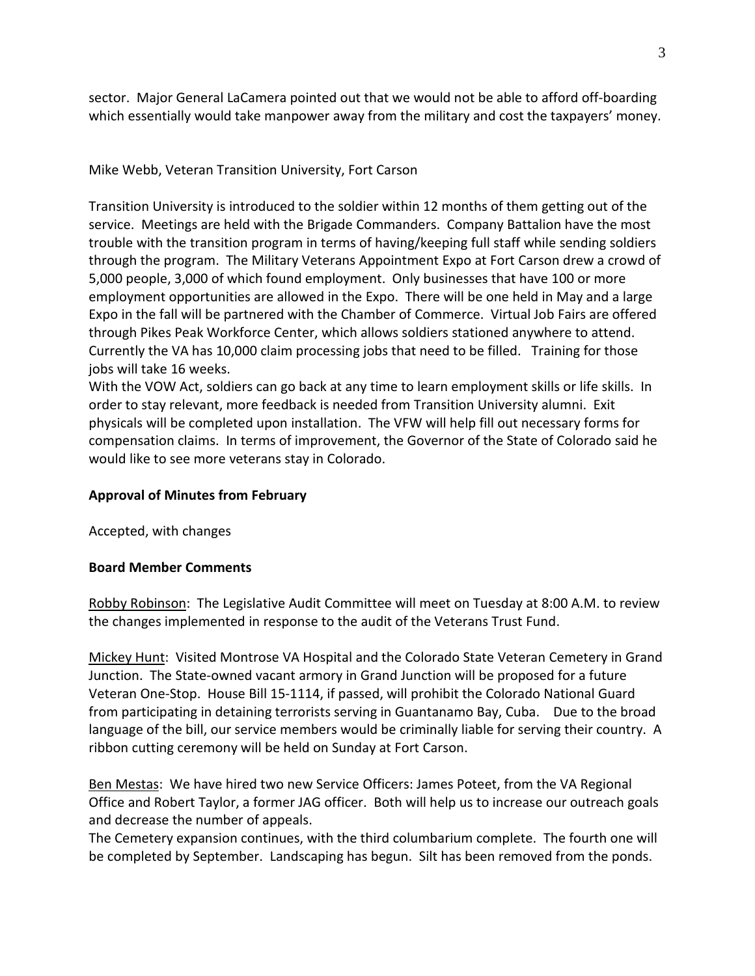sector. Major General LaCamera pointed out that we would not be able to afford off-boarding which essentially would take manpower away from the military and cost the taxpayers' money.

Mike Webb, Veteran Transition University, Fort Carson

Transition University is introduced to the soldier within 12 months of them getting out of the service. Meetings are held with the Brigade Commanders. Company Battalion have the most trouble with the transition program in terms of having/keeping full staff while sending soldiers through the program. The Military Veterans Appointment Expo at Fort Carson drew a crowd of 5,000 people, 3,000 of which found employment. Only businesses that have 100 or more employment opportunities are allowed in the Expo. There will be one held in May and a large Expo in the fall will be partnered with the Chamber of Commerce. Virtual Job Fairs are offered through Pikes Peak Workforce Center, which allows soldiers stationed anywhere to attend. Currently the VA has 10,000 claim processing jobs that need to be filled. Training for those jobs will take 16 weeks.

With the VOW Act, soldiers can go back at any time to learn employment skills or life skills. In order to stay relevant, more feedback is needed from Transition University alumni. Exit physicals will be completed upon installation. The VFW will help fill out necessary forms for compensation claims. In terms of improvement, the Governor of the State of Colorado said he would like to see more veterans stay in Colorado.

# **Approval of Minutes from February**

Accepted, with changes

## **Board Member Comments**

Robby Robinson: The Legislative Audit Committee will meet on Tuesday at 8:00 A.M. to review the changes implemented in response to the audit of the Veterans Trust Fund.

Mickey Hunt: Visited Montrose VA Hospital and the Colorado State Veteran Cemetery in Grand Junction. The State-owned vacant armory in Grand Junction will be proposed for a future Veteran One-Stop. House Bill 15-1114, if passed, will prohibit the Colorado National Guard from participating in detaining terrorists serving in Guantanamo Bay, Cuba. Due to the broad language of the bill, our service members would be criminally liable for serving their country. A ribbon cutting ceremony will be held on Sunday at Fort Carson.

Ben Mestas: We have hired two new Service Officers: James Poteet, from the VA Regional Office and Robert Taylor, a former JAG officer. Both will help us to increase our outreach goals and decrease the number of appeals.

The Cemetery expansion continues, with the third columbarium complete. The fourth one will be completed by September. Landscaping has begun. Silt has been removed from the ponds.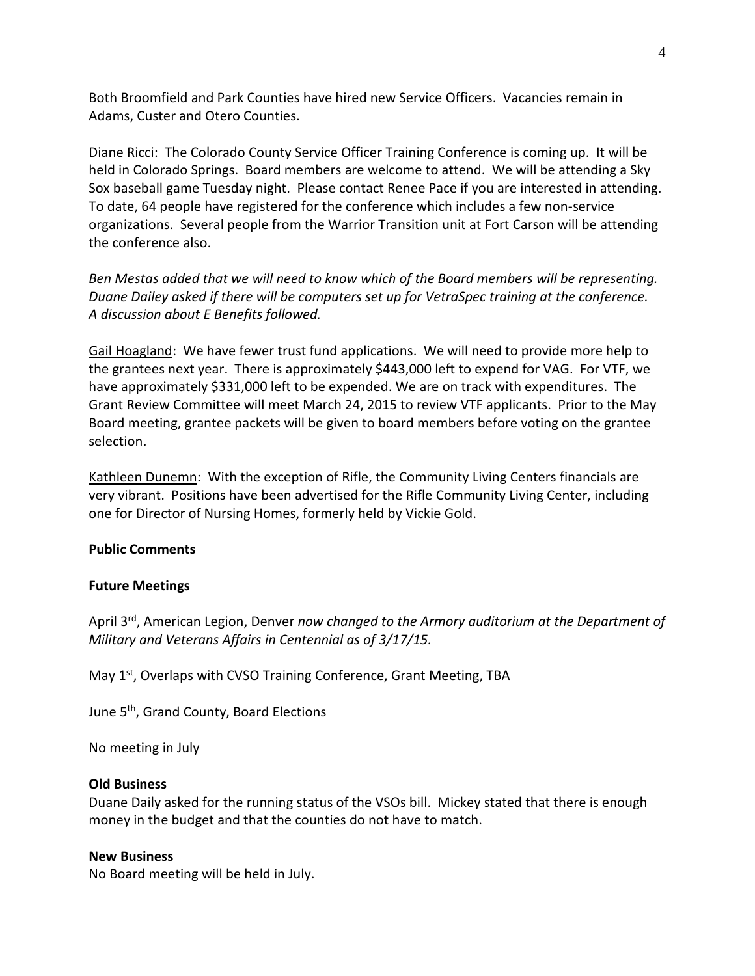Both Broomfield and Park Counties have hired new Service Officers. Vacancies remain in Adams, Custer and Otero Counties.

Diane Ricci: The Colorado County Service Officer Training Conference is coming up. It will be held in Colorado Springs. Board members are welcome to attend. We will be attending a Sky Sox baseball game Tuesday night. Please contact Renee Pace if you are interested in attending. To date, 64 people have registered for the conference which includes a few non-service organizations. Several people from the Warrior Transition unit at Fort Carson will be attending the conference also.

*Ben Mestas added that we will need to know which of the Board members will be representing. Duane Dailey asked if there will be computers set up for VetraSpec training at the conference. A discussion about E Benefits followed.*

Gail Hoagland: We have fewer trust fund applications. We will need to provide more help to the grantees next year. There is approximately \$443,000 left to expend for VAG. For VTF, we have approximately \$331,000 left to be expended. We are on track with expenditures. The Grant Review Committee will meet March 24, 2015 to review VTF applicants. Prior to the May Board meeting, grantee packets will be given to board members before voting on the grantee selection.

Kathleen Dunemn: With the exception of Rifle, the Community Living Centers financials are very vibrant. Positions have been advertised for the Rifle Community Living Center, including one for Director of Nursing Homes, formerly held by Vickie Gold.

## **Public Comments**

#### **Future Meetings**

April 3rd, American Legion, Denver *now changed to the Armory auditorium at the Department of Military and Veterans Affairs in Centennial as of 3/17/15.*

May 1<sup>st</sup>, Overlaps with CVSO Training Conference, Grant Meeting, TBA

June 5<sup>th</sup>, Grand County, Board Elections

No meeting in July

#### **Old Business**

Duane Daily asked for the running status of the VSOs bill. Mickey stated that there is enough money in the budget and that the counties do not have to match.

#### **New Business**

No Board meeting will be held in July.